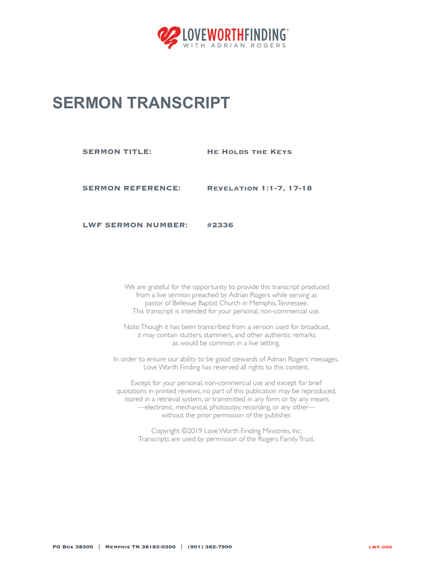

## **SERMON TRANSCRIPT**

**SERMON TITLE: HE HOLDS THE KEYS** 

**SERMON REFERENCE: Revelation 1:1-7, 17-18**

**LWF SERMON NUMBER: #2336**

We are grateful for the opportunity to provide this transcript produced from a live sermon preached by Adrian Rogers while serving as pastor of Bellevue Baptist Church in Memphis, Tennessee. This transcript is intended for your personal, non-commercial use.

Note: Though it has been transcribed from a version used for broadcast, it may contain stutters, stammers, and other authentic remarks as would be common in a live setting.

In order to ensure our ability to be good stewards of Adrian Rogers' messages, Love Worth Finding has reserved all rights to this content.

Except for your personal, non-commercial use and except for brief quotations in printed reviews, no part of this publication may be reproduced, stored in a retrieval system, or transmitted in any form or by any means —electronic, mechanical, photocopy, recording, or any other without the prior permission of the publisher.

Copyright ©2019 Love Worth Finding Ministries, Inc. Transcripts are used by permission of the Rogers Family Trust.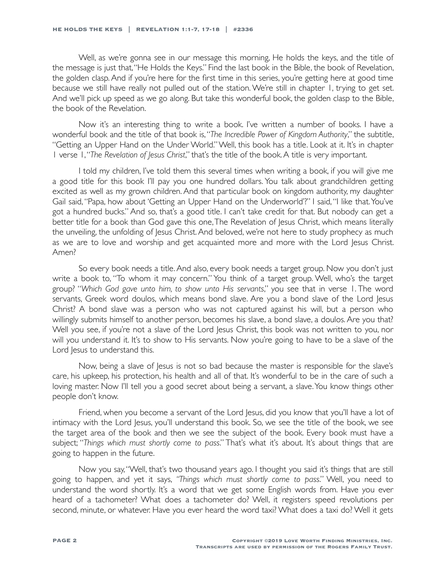Well, as we're gonna see in our message this morning, He holds the keys, and the title of the message is just that, "He Holds the Keys." Find the last book in the Bible, the book of Revelation, the golden clasp. And if you're here for the first time in this series, you're getting here at good time because we still have really not pulled out of the station. We're still in chapter 1, trying to get set. And we'll pick up speed as we go along. But take this wonderful book, the golden clasp to the Bible, the book of the Revelation.

Now it's an interesting thing to write a book. I've written a number of books. I have a wonderful book and the title of that book is, "*The Incredible Power of Kingdom Authority*," the subtitle, "Getting an Upper Hand on the Under World." Well, this book has a title. Look at it. It's in chapter 1 verse 1, "*The Revelation of Jesus Christ*," that's the title of the book. A title is very important.

I told my children, I've told them this several times when writing a book, if you will give me a good title for this book I'll pay you one hundred dollars. You talk about grandchildren getting excited as well as my grown children. And that particular book on kingdom authority, my daughter Gail said, "Papa, how about 'Getting an Upper Hand on the Underworld'?" I said, "I like that. You've got a hundred bucks." And so, that's a good title. I can't take credit for that. But nobody can get a better title for a book than God gave this one, The Revelation of Jesus Christ, which means literally the unveiling, the unfolding of Jesus Christ. And beloved, we're not here to study prophecy as much as we are to love and worship and get acquainted more and more with the Lord Jesus Christ. Amen?

So every book needs a title. And also, every book needs a target group. Now you don't just write a book to, "To whom it may concern." You think of a target group. Well, who's the target group? "*Which God gave unto him, to show unto His servants*," you see that in verse 1. The word servants, Greek word doulos, which means bond slave. Are you a bond slave of the Lord Jesus Christ? A bond slave was a person who was not captured against his will, but a person who willingly submits himself to another person, becomes his slave, a bond slave, a doulos. Are you that? Well you see, if you're not a slave of the Lord Jesus Christ, this book was not written to you, nor will you understand it. It's to show to His servants. Now you're going to have to be a slave of the Lord Jesus to understand this.

Now, being a slave of Jesus is not so bad because the master is responsible for the slave's care, his upkeep, his protection, his health and all of that. It's wonderful to be in the care of such a loving master. Now I'll tell you a good secret about being a servant, a slave. You know things other people don't know.

Friend, when you become a servant of the Lord Jesus, did you know that you'll have a lot of intimacy with the Lord Jesus, you'll understand this book. So, we see the title of the book, we see the target area of the book and then we see the subject of the book. Every book must have a subject; "*Things which must shortly come to pass*." That's what it's about. It's about things that are going to happen in the future.

Now you say, "Well, that's two thousand years ago. I thought you said it's things that are still going to happen, and yet it says, *"Things which must shortly come to pass*." Well, you need to understand the word shortly. It's a word that we get some English words from. Have you ever heard of a tachometer? What does a tachometer do? Well, it registers speed revolutions per second, minute, or whatever. Have you ever heard the word taxi? What does a taxi do? Well it gets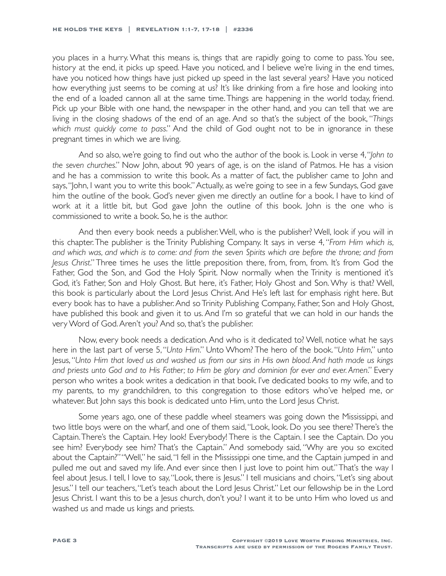you places in a hurry. What this means is, things that are rapidly going to come to pass. You see, history at the end, it picks up speed. Have you noticed, and I believe we're living in the end times, have you noticed how things have just picked up speed in the last several years? Have you noticed how everything just seems to be coming at us? It's like drinking from a fire hose and looking into the end of a loaded cannon all at the same time. Things are happening in the world today, friend. Pick up your Bible with one hand, the newspaper in the other hand, and you can tell that we are living in the closing shadows of the end of an age. And so that's the subject of the book, "*Things which must quickly come to pass*." And the child of God ought not to be in ignorance in these pregnant times in which we are living.

And so also, we're going to find out who the author of the book is. Look in verse 4, "*John to the seven churches*." Now John, about 90 years of age, is on the island of Patmos. He has a vision and he has a commission to write this book. As a matter of fact, the publisher came to John and says, "John, I want you to write this book." Actually, as we're going to see in a few Sundays, God gave him the outline of the book. God's never given me directly an outline for a book. I have to kind of work at it a little bit, but God gave John the outline of this book. John is the one who is commissioned to write a book. So, he is the author.

And then every book needs a publisher. Well, who is the publisher? Well, look if you will in this chapter. The publisher is the Trinity Publishing Company. It says in verse 4, "*From Him which is, and which was, and which is to come: and from the seven Spirits which are before the throne; and from Jesus Christ*." Three times he uses the little preposition there, from, from, from. It's from God the Father, God the Son, and God the Holy Spirit. Now normally when the Trinity is mentioned it's God, it's Father, Son and Holy Ghost. But here, it's Father, Holy Ghost and Son. Why is that? Well, this book is particularly about the Lord Jesus Christ. And He's left last for emphasis right here. But every book has to have a publisher. And so Trinity Publishing Company, Father, Son and Holy Ghost, have published this book and given it to us. And I'm so grateful that we can hold in our hands the very Word of God. Aren't you? And so, that's the publisher.

Now, every book needs a dedication. And who is it dedicated to? Well, notice what he says here in the last part of verse 5, "*Unto Him*." Unto Whom? The hero of the book. "*Unto Him*," unto Jesus, "*Unto Him that loved us and washed us from our sins in His own blood. And hath made us kings and priests unto God and to His Father; to Him be glory and dominion for ever and ever. Amen*." Every person who writes a book writes a dedication in that book. I've dedicated books to my wife, and to my parents, to my grandchildren, to this congregation to those editors who've helped me, or whatever. But John says this book is dedicated unto Him, unto the Lord Jesus Christ.

Some years ago, one of these paddle wheel steamers was going down the Mississippi, and two little boys were on the wharf, and one of them said, "Look, look. Do you see there? There's the Captain. There's the Captain. Hey look! Everybody! There is the Captain. I see the Captain. Do you see him? Everybody see him? That's the Captain." And somebody said, "Why are you so excited about the Captain?" "Well," he said, "I fell in the Mississippi one time, and the Captain jumped in and pulled me out and saved my life. And ever since then I just love to point him out." That's the way I feel about Jesus. I tell, I love to say, "Look, there is Jesus." I tell musicians and choirs, "Let's sing about Jesus." I tell our teachers, "Let's teach about the Lord Jesus Christ." Let our fellowship be in the Lord Jesus Christ. I want this to be a Jesus church, don't you? I want it to be unto Him who loved us and washed us and made us kings and priests.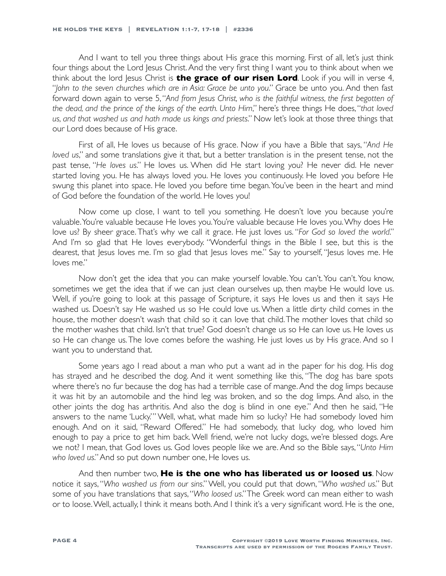And I want to tell you three things about His grace this morning. First of all, let's just think four things about the Lord Jesus Christ. And the very first thing I want you to think about when we think about the lord Jesus Christ is **the grace of our risen Lord**. Look if you will in verse 4, "*John to the seven churches which are in Asia: Grace be unto you*." Grace be unto you. And then fast forward down again to verse 5, "And from Jesus Christ, who is the faithful witness, the first begotten of *the dead, and the prince of the kings of the earth. Unto Him*," here's three things He does, "*that loved us, and that washed us and hath made us kings and priests*." Now let's look at those three things that our Lord does because of His grace.

First of all, He loves us because of His grace. Now if you have a Bible that says, "*And He loved us*," and some translations give it that, but a better translation is in the present tense, not the past tense, "*He loves us*." He loves us. When did He start loving you? He never did. He never started loving you. He has always loved you. He loves you continuously. He loved you before He swung this planet into space. He loved you before time began. You've been in the heart and mind of God before the foundation of the world. He loves you!

Now come up close, I want to tell you something. He doesn't love you because you're valuable. You're valuable because He loves you. You're valuable because He loves you. Why does He love us? By sheer grace. That's why we call it grace. He just loves us. "*For God so loved the world*." And I'm so glad that He loves everybody. "Wonderful things in the Bible I see, but this is the dearest, that Jesus loves me. I'm so glad that Jesus loves me." Say to yourself, "Jesus loves me. He loves me."

Now don't get the idea that you can make yourself lovable. You can't. You can't. You know, sometimes we get the idea that if we can just clean ourselves up, then maybe He would love us. Well, if you're going to look at this passage of Scripture, it says He loves us and then it says He washed us. Doesn't say He washed us so He could love us. When a little dirty child comes in the house, the mother doesn't wash that child so it can love that child. The mother loves that child so the mother washes that child. Isn't that true? God doesn't change us so He can love us. He loves us so He can change us. The love comes before the washing. He just loves us by His grace. And so I want you to understand that.

Some years ago I read about a man who put a want ad in the paper for his dog. His dog has strayed and he described the dog. And it went something like this, "The dog has bare spots where there's no fur because the dog has had a terrible case of mange. And the dog limps because it was hit by an automobile and the hind leg was broken, and so the dog limps. And also, in the other joints the dog has arthritis. And also the dog is blind in one eye." And then he said, "He answers to the name 'Lucky.'" Well, what, what made him so lucky? He had somebody loved him enough. And on it said, "Reward Offered." He had somebody, that lucky dog, who loved him enough to pay a price to get him back. Well friend, we're not lucky dogs, we're blessed dogs. Are we not? I mean, that God loves us. God loves people like we are. And so the Bible says, "*Unto Him who loved us*." And so put down number one, He loves us.

And then number two, **He is the one who has liberated us or loosed us**. Now notice it says, "*Who washed us from our sins*." Well, you could put that down, "*Who washed us*." But some of you have translations that says, "*Who loosed us*." The Greek word can mean either to wash or to loose. Well, actually, I think it means both. And I think it's a very significant word. He is the one,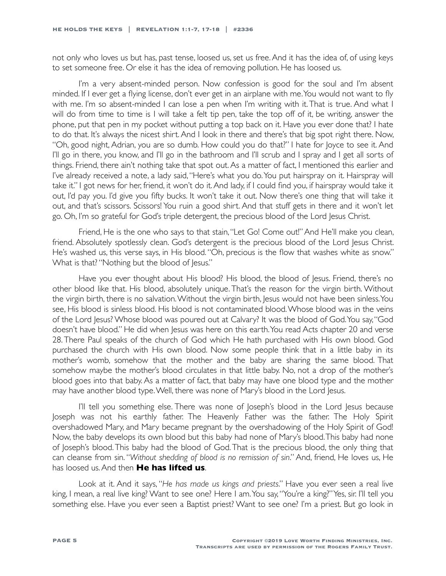not only who loves us but has, past tense, loosed us, set us free. And it has the idea of, of using keys to set someone free. Or else it has the idea of removing pollution. He has loosed us.

I'm a very absent-minded person. Now confession is good for the soul and I'm absent minded. If I ever get a flying license, don't ever get in an airplane with me. You would not want to fly with me. I'm so absent-minded I can lose a pen when I'm writing with it. That is true. And what I will do from time to time is I will take a felt tip pen, take the top off of it, be writing, answer the phone, put that pen in my pocket without putting a top back on it. Have you ever done that? I hate to do that. It's always the nicest shirt. And I look in there and there's that big spot right there. Now, "Oh, good night, Adrian, you are so dumb. How could you do that?" I hate for Joyce to see it. And I'll go in there, you know, and I'll go in the bathroom and I'll scrub and I spray and I get all sorts of things. Friend, there ain't nothing take that spot out. As a matter of fact, I mentioned this earlier and I've already received a note, a lady said, "Here's what you do. You put hairspray on it. Hairspray will take it." I got news for her, friend, it won't do it. And lady, if I could find you, if hairspray would take it out, I'd pay you. I'd give you fifty bucks. It won't take it out. Now there's one thing that will take it out, and that's scissors. Scissors! You ruin a good shirt. And that stuff gets in there and it won't let go. Oh, I'm so grateful for God's triple detergent, the precious blood of the Lord Jesus Christ.

Friend, He is the one who says to that stain, "Let Go! Come out!" And He'll make you clean, friend. Absolutely spotlessly clean. God's detergent is the precious blood of the Lord Jesus Christ. He's washed us, this verse says, in His blood. "Oh, precious is the flow that washes white as snow." What is that? "Nothing but the blood of Jesus."

Have you ever thought about His blood? His blood, the blood of Jesus. Friend, there's no other blood like that. His blood, absolutely unique. That's the reason for the virgin birth. Without the virgin birth, there is no salvation. Without the virgin birth, Jesus would not have been sinless. You see, His blood is sinless blood. His blood is not contaminated blood. Whose blood was in the veins of the Lord Jesus? Whose blood was poured out at Calvary? It was the blood of God. You say, "God doesn't have blood." He did when Jesus was here on this earth. You read Acts chapter 20 and verse 28. There Paul speaks of the church of God which He hath purchased with His own blood. God purchased the church with His own blood. Now some people think that in a little baby in its mother's womb, somehow that the mother and the baby are sharing the same blood. That somehow maybe the mother's blood circulates in that little baby. No, not a drop of the mother's blood goes into that baby. As a matter of fact, that baby may have one blood type and the mother may have another blood type. Well, there was none of Mary's blood in the Lord Jesus.

I'll tell you something else. There was none of Joseph's blood in the Lord Jesus because Joseph was not his earthly father. The Heavenly Father was the father. The Holy Spirit overshadowed Mary, and Mary became pregnant by the overshadowing of the Holy Spirit of God! Now, the baby develops its own blood but this baby had none of Mary's blood. This baby had none of Joseph's blood. This baby had the blood of God. That is the precious blood, the only thing that can cleanse from sin. "*Without shedding of blood is no remission of sin*." And, friend, He loves us, He has loosed us. And then **He has lifted us**.

Look at it. And it says, "*He has made us kings and priests*." Have you ever seen a real live king, I mean, a real live king? Want to see one? Here I am. You say, "You're a king?" Yes, sir. I'll tell you something else. Have you ever seen a Baptist priest? Want to see one? I'm a priest. But go look in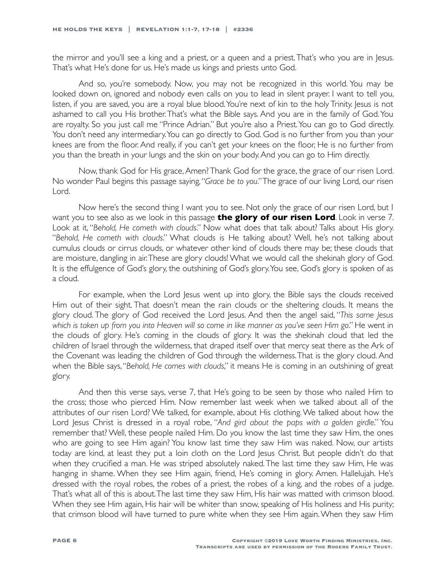the mirror and you'll see a king and a priest, or a queen and a priest. That's who you are in Jesus. That's what He's done for us. He's made us kings and priests unto God.

And so, you're somebody. Now, you may not be recognized in this world. You may be looked down on, ignored and nobody even calls on you to lead in silent prayer. I want to tell you, listen, if you are saved, you are a royal blue blood. You're next of kin to the holy Trinity. Jesus is not ashamed to call you His brother. That's what the Bible says. And you are in the family of God. You are royalty. So you just call me "Prince Adrian." But you're also a Priest. You can go to God directly. You don't need any intermediary. You can go directly to God. God is no further from you than your knees are from the floor. And really, if you can't get your knees on the floor, He is no further from you than the breath in your lungs and the skin on your body. And you can go to Him directly.

Now, thank God for His grace, Amen? Thank God for the grace, the grace of our risen Lord. No wonder Paul begins this passage saying, "*Grace be to you*." The grace of our living Lord, our risen Lord.

Now here's the second thing I want you to see. Not only the grace of our risen Lord, but I want you to see also as we look in this passage **the glory of our risen Lord**. Look in verse 7. Look at it, "*Behold, He cometh with clouds*." Now what does that talk about? Talks about His glory. "*Behold, He cometh with clouds*." What clouds is He talking about? Well, he's not talking about cumulus clouds or cirrus clouds, or whatever other kind of clouds there may be; these clouds that are moisture, dangling in air. These are glory clouds! What we would call the shekinah glory of God. It is the effulgence of God's glory, the outshining of God's glory. You see, God's glory is spoken of as a cloud.

For example, when the Lord Jesus went up into glory, the Bible says the clouds received Him out of their sight. That doesn't mean the rain clouds or the sheltering clouds. It means the glory cloud. The glory of God received the Lord Jesus. And then the angel said, "*This same Jesus which is taken up from you into Heaven will so come in like manner as you've seen Him go*." He went in the clouds of glory. He's coming in the clouds of glory. It was the shekinah cloud that led the children of Israel through the wilderness, that draped itself over that mercy seat there as the Ark of the Covenant was leading the children of God through the wilderness. That is the glory cloud. And when the Bible says, "*Behold, He comes with clouds*," it means He is coming in an outshining of great glory.

And then this verse says, verse 7, that He's going to be seen by those who nailed Him to the cross; those who pierced Him. Now remember last week when we talked about all of the attributes of our risen Lord? We talked, for example, about His clothing. We talked about how the Lord Jesus Christ is dressed in a royal robe, "*And gird about the paps with a golden girdle*." You remember that? Well, these people nailed Him. Do you know the last time they saw Him, the ones who are going to see Him again? You know last time they saw Him was naked. Now, our artists today are kind, at least they put a loin cloth on the Lord Jesus Christ. But people didn't do that when they crucified a man. He was striped absolutely naked. The last time they saw Him, He was hanging in shame. When they see Him again, friend, He's coming in glory. Amen. Hallelujah. He's dressed with the royal robes, the robes of a priest, the robes of a king, and the robes of a judge. That's what all of this is about. The last time they saw Him, His hair was matted with crimson blood. When they see Him again, His hair will be whiter than snow, speaking of His holiness and His purity; that crimson blood will have turned to pure white when they see Him again. When they saw Him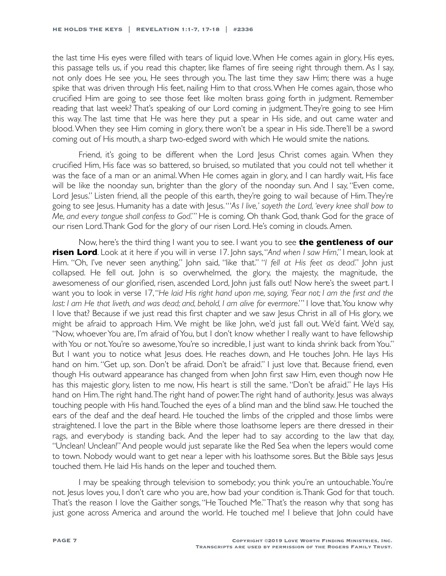the last time His eyes were filled with tears of liquid love. When He comes again in glory, His eyes, this passage tells us, if you read this chapter, like flames of fire seeing right through them. As I say, not only does He see you, He sees through you. The last time they saw Him; there was a huge spike that was driven through His feet, nailing Him to that cross. When He comes again, those who crucified Him are going to see those feet like molten brass going forth in judgment. Remember reading that last week? That's speaking of our Lord coming in judgment. They're going to see Him this way. The last time that He was here they put a spear in His side, and out came water and blood. When they see Him coming in glory, there won't be a spear in His side. There'll be a sword coming out of His mouth, a sharp two-edged sword with which He would smite the nations.

Friend, it's going to be different when the Lord Jesus Christ comes again. When they crucified Him, His face was so battered, so bruised, so mutilated that you could not tell whether it was the face of a man or an animal. When He comes again in glory, and I can hardly wait, His face will be like the noonday sun, brighter than the glory of the noonday sun. And I say, "Even come, Lord Jesus." Listen friend, all the people of this earth, they're going to wail because of Him. They're going to see Jesus. Humanity has a date with Jesus. "'*As I live,' sayeth the Lord, 'every knee shall bow to Me, and every tongue shall confess to God*.'" He is coming. Oh thank God, thank God for the grace of our risen Lord. Thank God for the glory of our risen Lord. He's coming in clouds. Amen.

Now, here's the third thing I want you to see. I want you to see **the gentleness of our risen Lord**. Look at it here if you will in verse 17. John says, "*And when I saw Him*," I mean, look at Him. "Oh, I've never seen anything," John said, "like that." "*I fell at His feet as dead*." John just collapsed. He fell out. John is so overwhelmed, the glory, the majesty, the magnitude, the awesomeness of our glorified, risen, ascended Lord, John just falls out! Now here's the sweet part. I want you to look in verse 17, "*He laid His right hand upon me, saying, 'Fear not; I am the first and the*  last: I am He that liveth, and was dead; and, behold, I am alive for evermore." I love that. You know why I love that? Because if we just read this first chapter and we saw Jesus Christ in all of His glory, we might be afraid to approach Him. We might be like John, we'd just fall out. We'd faint. We'd say, "Now, whoever You are, I'm afraid of You, but I don't know whether I really want to have fellowship with You or not. You're so awesome, You're so incredible, I just want to kinda shrink back from You." But I want you to notice what Jesus does. He reaches down, and He touches John. He lays His hand on him. "Get up, son. Don't be afraid. Don't be afraid." I just love that. Because friend, even though His outward appearance has changed from when John first saw Him, even though now He has this majestic glory, listen to me now, His heart is still the same. "Don't be afraid." He lays His hand on Him. The right hand. The right hand of power. The right hand of authority. Jesus was always touching people with His hand. Touched the eyes of a blind man and the blind saw. He touched the ears of the deaf and the deaf heard. He touched the limbs of the crippled and those limbs were straightened. I love the part in the Bible where those loathsome lepers are there dressed in their rags, and everybody is standing back. And the leper had to say according to the law that day, "Unclean! Unclean!" And people would just separate like the Red Sea when the lepers would come to town. Nobody would want to get near a leper with his loathsome sores. But the Bible says Jesus touched them. He laid His hands on the leper and touched them.

I may be speaking through television to somebody; you think you're an untouchable. You're not. Jesus loves you, I don't care who you are, how bad your condition is. Thank God for that touch. That's the reason I love the Gaither songs, "He Touched Me." That's the reason why that song has just gone across America and around the world. He touched me! I believe that John could have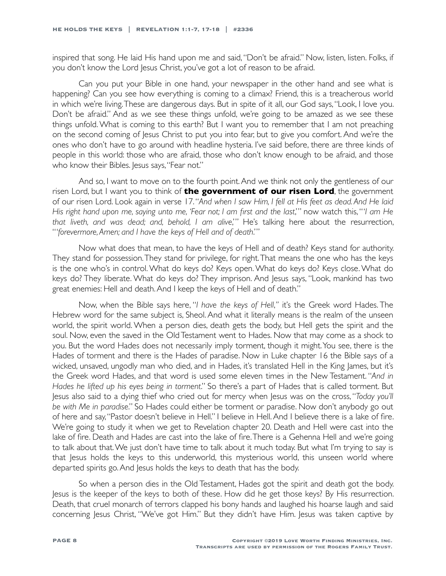inspired that song. He laid His hand upon me and said, "Don't be afraid." Now, listen, listen. Folks, if you don't know the Lord Jesus Christ, you've got a lot of reason to be afraid.

Can you put your Bible in one hand, your newspaper in the other hand and see what is happening? Can you see how everything is coming to a climax? Friend, this is a treacherous world in which we're living. These are dangerous days. But in spite of it all, our God says, "Look, I love you. Don't be afraid." And as we see these things unfold, we're going to be amazed as we see these things unfold. What is coming to this earth? But I want you to remember that I am not preaching on the second coming of Jesus Christ to put you into fear, but to give you comfort. And we're the ones who don't have to go around with headline hysteria. I've said before, there are three kinds of people in this world: those who are afraid, those who don't know enough to be afraid, and those who know their Bibles. Jesus says, "Fear not."

And so, I want to move on to the fourth point. And we think not only the gentleness of our risen Lord, but I want you to think of **the government of our risen Lord**, the government of our risen Lord. Look again in verse 17. "*And when I saw Him, I fell at His feet as dead. And He laid His right hand upon me, saying unto me, 'Fear not; I am first and the last*,'" now watch this, "'*I am He that liveth, and was dead; and, behold, I am alive*,'" He's talking here about the resurrection, "'*forevermore, Amen; and I have the keys of Hell and of death*.'"

Now what does that mean, to have the keys of Hell and of death? Keys stand for authority. They stand for possession. They stand for privilege, for right. That means the one who has the keys is the one who's in control. What do keys do? Keys open. What do keys do? Keys close. What do keys do? They liberate. What do keys do? They imprison. And Jesus says, "Look, mankind has two great enemies: Hell and death. And I keep the keys of Hell and of death."

Now, when the Bible says here, "*I have the keys of Hell*,*"* it's the Greek word Hades. The Hebrew word for the same subject is, Sheol. And what it literally means is the realm of the unseen world, the spirit world. When a person dies, death gets the body, but Hell gets the spirit and the soul. Now, even the saved in the Old Testament went to Hades. Now that may come as a shock to you. But the word Hades does not necessarily imply torment, though it might. You see, there is the Hades of torment and there is the Hades of paradise. Now in Luke chapter 16 the Bible says of a wicked, unsaved, ungodly man who died, and in Hades, it's translated Hell in the King James, but it's the Greek word Hades, and that word is used some eleven times in the New Testament. "*And in Hades he lifted up his eyes being in torment*." So there's a part of Hades that is called torment. But Jesus also said to a dying thief who cried out for mercy when Jesus was on the cross, "*Today you'll be with Me in paradise*." So Hades could either be torment or paradise. Now don't anybody go out of here and say, "Pastor doesn't believe in Hell." I believe in Hell. And I believe there is a lake of fire. We're going to study it when we get to Revelation chapter 20. Death and Hell were cast into the lake of fire. Death and Hades are cast into the lake of fire. There is a Gehenna Hell and we're going to talk about that. We just don't have time to talk about it much today. But what I'm trying to say is that Jesus holds the keys to this underworld, this mysterious world, this unseen world where departed spirits go. And Jesus holds the keys to death that has the body.

So when a person dies in the Old Testament, Hades got the spirit and death got the body. Jesus is the keeper of the keys to both of these. How did he get those keys? By His resurrection. Death, that cruel monarch of terrors clapped his bony hands and laughed his hoarse laugh and said concerning Jesus Christ, "We've got Him." But they didn't have Him. Jesus was taken captive by